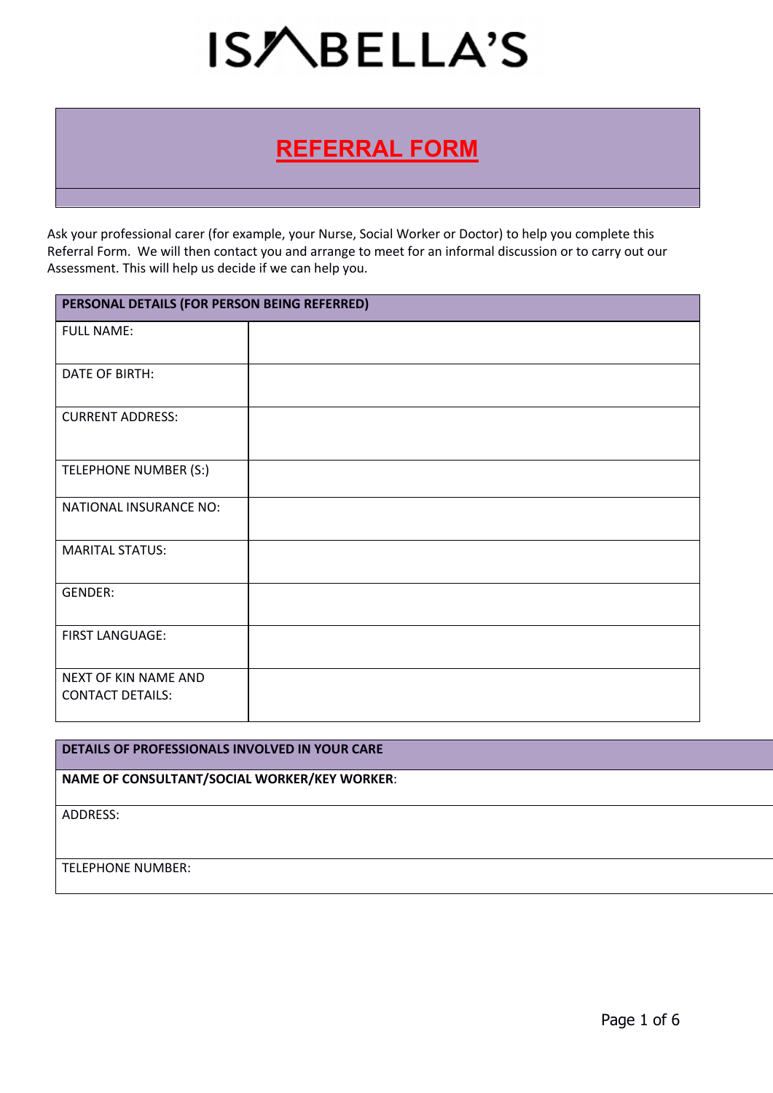### **REFERRAL FORM**

Ask your professional carer (for example, your Nurse, Social Worker or Doctor) to help you complete this Referral Form. We will then contact you and arrange to meet for an informal discussion or to carry out our Assessment. This will help us decide if we can help you.

| PERSONAL DETAILS (FOR PERSON BEING REFERRED)    |  |
|-------------------------------------------------|--|
| <b>FULL NAME:</b>                               |  |
| DATE OF BIRTH:                                  |  |
| <b>CURRENT ADDRESS:</b>                         |  |
| TELEPHONE NUMBER (S:)                           |  |
| NATIONAL INSURANCE NO:                          |  |
| <b>MARITAL STATUS:</b>                          |  |
| GENDER:                                         |  |
| <b>FIRST LANGUAGE:</b>                          |  |
| NEXT OF KIN NAME AND<br><b>CONTACT DETAILS:</b> |  |

#### **DETAILS OF PROFESSIONALS INVOLVED IN YOUR CARE**

#### **NAME OF CONSULTANT/SOCIAL WORKER/KEY WORKER**:

ADDRESS:

TELEPHONE NUMBER: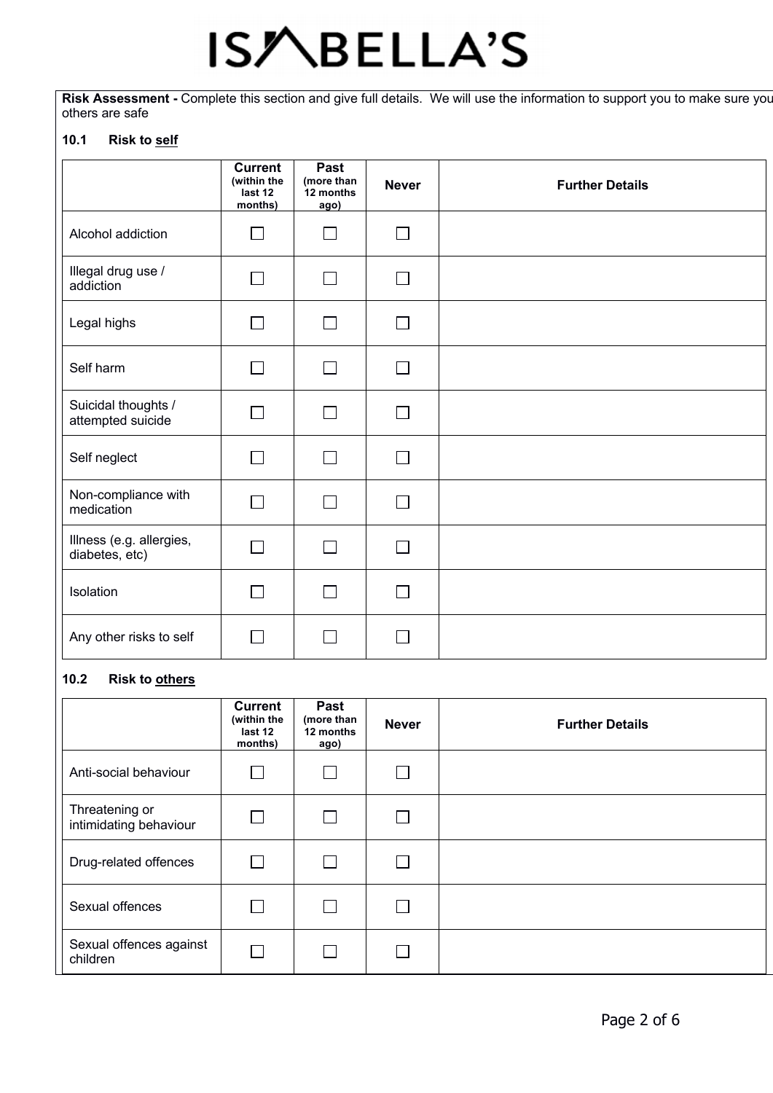Risk Assessment - Complete this section and give full details. We will use the information to support you to make sure you others are safe

#### **10.1 Risk to self**

|                                            | <b>Current</b><br>(within the<br>last 12<br>months) | Past<br>(more than<br>12 months<br>ago) | <b>Never</b> | <b>Further Details</b> |
|--------------------------------------------|-----------------------------------------------------|-----------------------------------------|--------------|------------------------|
| Alcohol addiction                          | $\Box$                                              | $\blacksquare$                          | П            |                        |
| Illegal drug use /<br>addiction            | $\overline{\phantom{0}}$                            | $\mathsf{L}$                            | $\mathbf{L}$ |                        |
| Legal highs                                | П                                                   | <b>Contract</b>                         | $\Box$       |                        |
| Self harm                                  | П                                                   | <b>Taratta</b>                          | $\Box$       |                        |
| Suicidal thoughts /<br>attempted suicide   | $\Box$                                              | $\Box$                                  | $\Box$       |                        |
| Self neglect                               | $\Box$                                              |                                         | П            |                        |
| Non-compliance with<br>medication          | П                                                   | $\blacksquare$                          | $\Box$       |                        |
| Illness (e.g. allergies,<br>diabetes, etc) | $\mathcal{L}_{\mathcal{A}}$                         | $\Box$                                  | $\Box$       |                        |
| Isolation                                  | $\Box$                                              | $\blacksquare$                          | $\Box$       |                        |
| Any other risks to self                    |                                                     |                                         |              |                        |

#### **10.2 Risk to others**

|                                          | <b>Current</b><br>(within the<br>last 12<br>months) | Past<br>(more than<br>12 months<br>ago) | <b>Never</b> | <b>Further Details</b> |
|------------------------------------------|-----------------------------------------------------|-----------------------------------------|--------------|------------------------|
| Anti-social behaviour                    |                                                     |                                         |              |                        |
| Threatening or<br>intimidating behaviour | <b>College</b>                                      |                                         |              |                        |
| Drug-related offences                    | $\mathcal{L}$                                       |                                         |              |                        |
| Sexual offences                          |                                                     |                                         |              |                        |
| Sexual offences against<br>children      |                                                     |                                         |              |                        |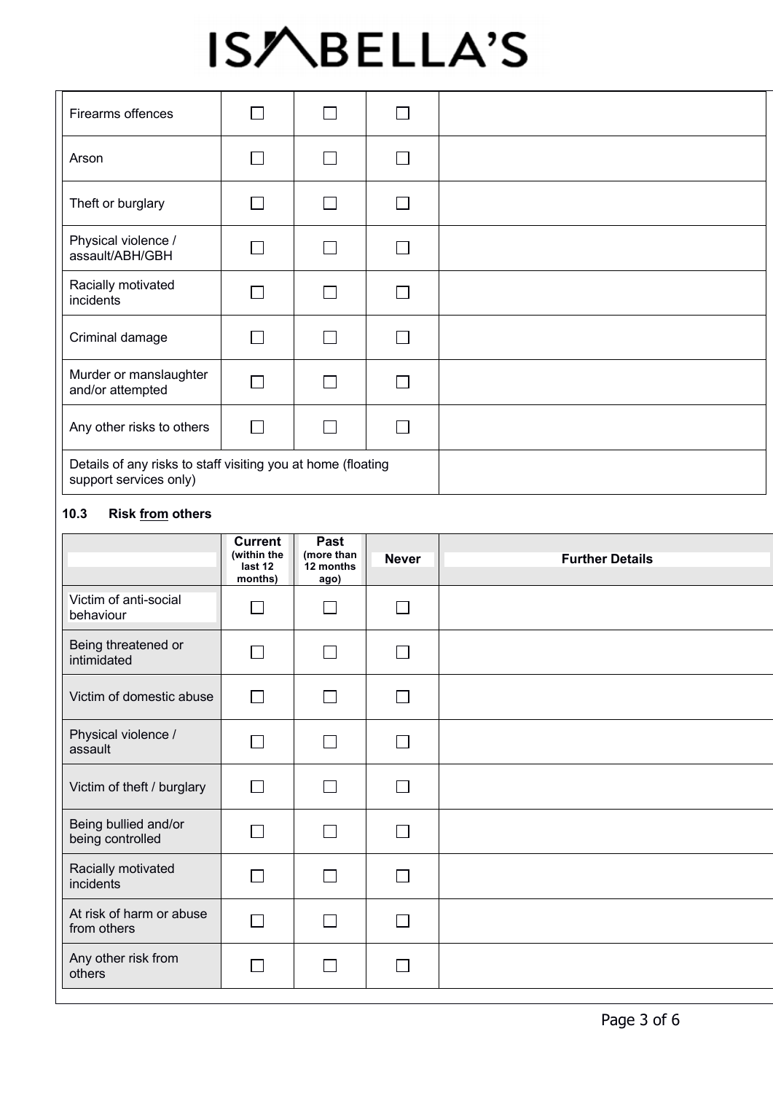| Firearms offences                                                                      |        | a s    |  |  |
|----------------------------------------------------------------------------------------|--------|--------|--|--|
| Arson                                                                                  |        | $\Box$ |  |  |
| Theft or burglary                                                                      |        | $\Box$ |  |  |
| Physical violence /<br>assault/ABH/GBH                                                 |        | $\sim$ |  |  |
| Racially motivated<br>incidents                                                        |        | $\Box$ |  |  |
| Criminal damage                                                                        |        | $\Box$ |  |  |
| Murder or manslaughter<br>and/or attempted                                             |        | ٦      |  |  |
| Any other risks to others                                                              | $\Box$ | П      |  |  |
| Details of any risks to staff visiting you at home (floating<br>support services only) |        |        |  |  |

#### **10.3 Risk from others**

|                                          | <b>Current</b><br>(within the<br>last 12<br>months) | Past<br>(more than<br>12 months<br>ago) | <b>Never</b>             | <b>Further Details</b> |
|------------------------------------------|-----------------------------------------------------|-----------------------------------------|--------------------------|------------------------|
| Victim of anti-social<br>behaviour       |                                                     | $\Box$                                  | $\sim$                   |                        |
| Being threatened or<br>intimidated       |                                                     | П                                       | $\mathbf{I}$             |                        |
| Victim of domestic abuse                 | $\Box$                                              | $\Box$                                  | $\overline{\phantom{0}}$ |                        |
| Physical violence /<br>assault           |                                                     | $\Box$                                  | $\mathbf{I}$             |                        |
| Victim of theft / burglary               | $\Box$                                              | $\Box$                                  | $\mathbf{I}$             |                        |
| Being bullied and/or<br>being controlled |                                                     | П                                       |                          |                        |
| Racially motivated<br>incidents          |                                                     | Г                                       |                          |                        |
| At risk of harm or abuse<br>from others  | L                                                   | $\Box$                                  |                          |                        |
| Any other risk from<br>others            |                                                     |                                         |                          |                        |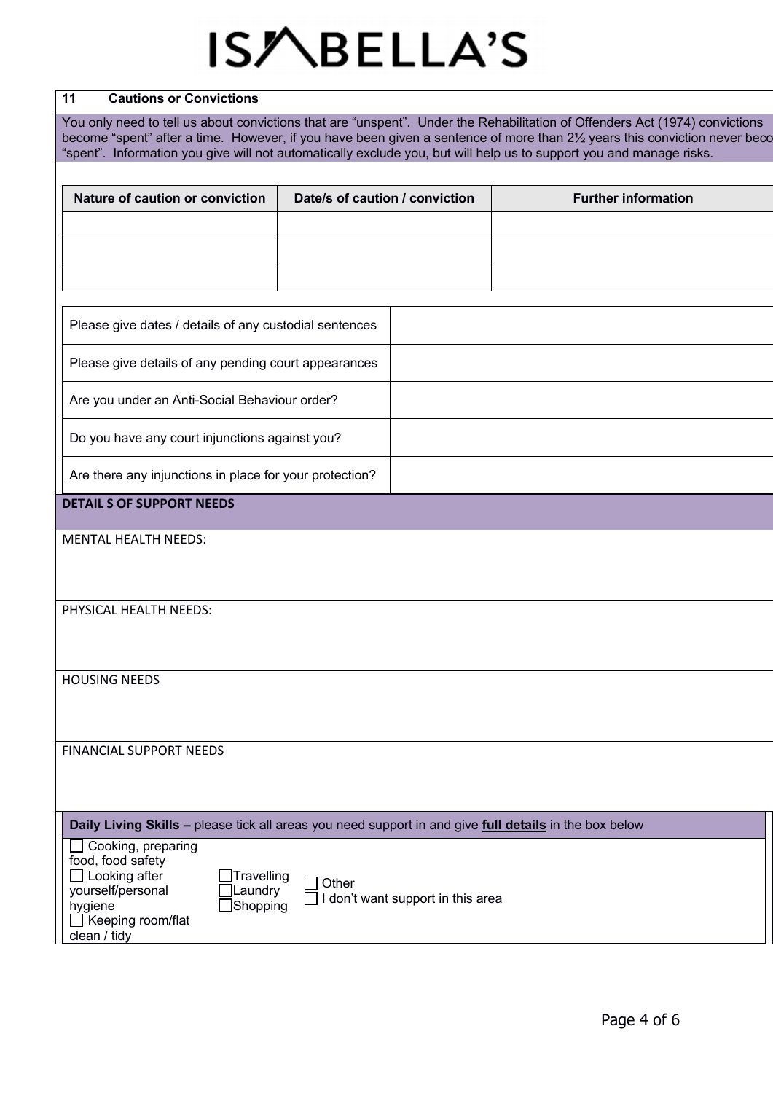#### **11 Cautions or Convictions**

You only need to tell us about convictions that are "unspent". Under the Rehabilitation of Offenders Act (1974) convictions become "spent" after a time. However, if you have been given a sentence of more than 21/2 years this conviction never becc "spent". Information you give will not automatically exclude you, but will help us to support you and manage risks.

| Nature of caution or conviction                         | Date/s of caution / conviction | <b>Further information</b> |
|---------------------------------------------------------|--------------------------------|----------------------------|
|                                                         |                                |                            |
|                                                         |                                |                            |
|                                                         |                                |                            |
|                                                         |                                |                            |
| Please give dates / details of any custodial sentences  |                                |                            |
| Please give details of any pending court appearances    |                                |                            |
| Are you under an Anti-Social Behaviour order?           |                                |                            |
| Do you have any court injunctions against you?          |                                |                            |
| Are there any injunctions in place for your protection? |                                |                            |
| <b>DETAIL S OF SUPPORT NEEDS</b>                        |                                |                            |
| <b>MENTAL HEALTH NEEDS:</b>                             |                                |                            |

#### PHYSICAL HEALTH NEEDS:

HOUSING NEEDS

FINANCIAL SUPPORT NEEDS

### **Daily Living Skills –** please tick all areas you need support in and give **full details** in the box below

| Cooking, preparing<br>food, food safety<br>Looking after<br>yourself/personal<br>hygiene<br>Keeping room/flat<br>clean / tidy | $\Box$ Travelling<br>Laundry<br>Shopping | Other<br>don't want support in this area |  |
|-------------------------------------------------------------------------------------------------------------------------------|------------------------------------------|------------------------------------------|--|
|-------------------------------------------------------------------------------------------------------------------------------|------------------------------------------|------------------------------------------|--|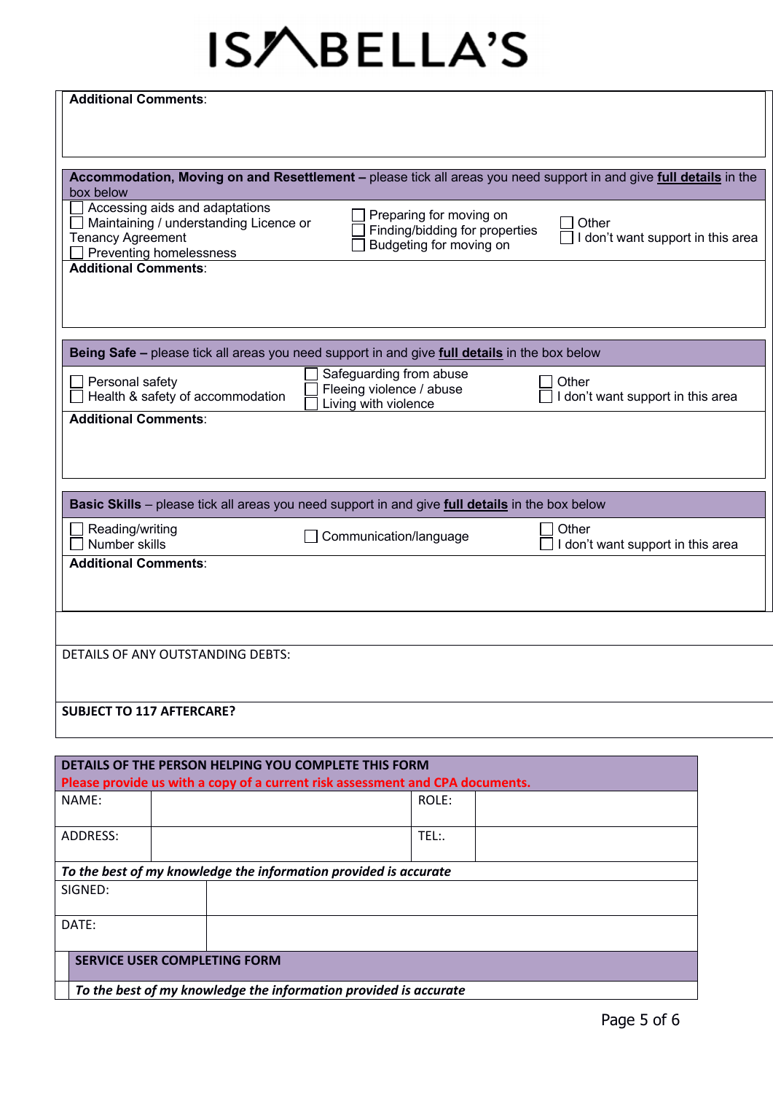| <b>Additional Comments:</b>                                                                                                         |                                                                                      |                                                                                                                    |  |
|-------------------------------------------------------------------------------------------------------------------------------------|--------------------------------------------------------------------------------------|--------------------------------------------------------------------------------------------------------------------|--|
| box below<br>$\Box$ Accessing aids and adaptations                                                                                  |                                                                                      | Accommodation, Moving on and Resettlement - please tick all areas you need support in and give full details in the |  |
| $\Box$ Maintaining / understanding Licence or<br><b>Tenancy Agreement</b><br>Preventing homelessness<br><b>Additional Comments:</b> | Preparing for moving on<br>Finding/bidding for properties<br>Budgeting for moving on | Other<br>I don't want support in this area                                                                         |  |
|                                                                                                                                     |                                                                                      |                                                                                                                    |  |
| Being Safe - please tick all areas you need support in and give full details in the box below                                       |                                                                                      |                                                                                                                    |  |
| $\Box$ Personal safety<br>Health & safety of accommodation                                                                          | Safeguarding from abuse<br>Fleeing violence / abuse<br>Living with violence          | Other<br>don't want support in this area                                                                           |  |
| <b>Additional Comments:</b>                                                                                                         |                                                                                      |                                                                                                                    |  |
| Basic Skills - please tick all areas you need support in and give full details in the box below                                     |                                                                                      |                                                                                                                    |  |
| $\Box$ Reading/writing<br>Number skills                                                                                             | Communication/language                                                               | Other<br>don't want support in this area                                                                           |  |
| <b>Additional Comments:</b>                                                                                                         |                                                                                      |                                                                                                                    |  |
|                                                                                                                                     |                                                                                      |                                                                                                                    |  |
| DETAILS OF ANY OUTSTANDING DEBTS:                                                                                                   |                                                                                      |                                                                                                                    |  |
| <b>SUBJECT TO 117 AFTERCARE?</b>                                                                                                    |                                                                                      |                                                                                                                    |  |
| DETAILS OF THE PERSON HELPING YOU COMPLETE THIS FORM                                                                                |                                                                                      |                                                                                                                    |  |
| Please provide us with a copy of a current risk assessment and CPA documents.                                                       |                                                                                      |                                                                                                                    |  |
| NAME:                                                                                                                               | ROLE:                                                                                |                                                                                                                    |  |

| ADDRESS:                            |  |                                                                  | TEL:. |  |
|-------------------------------------|--|------------------------------------------------------------------|-------|--|
|                                     |  |                                                                  |       |  |
|                                     |  | To the best of my knowledge the information provided is accurate |       |  |
| SIGNED:                             |  |                                                                  |       |  |
|                                     |  |                                                                  |       |  |
| DATE:                               |  |                                                                  |       |  |
|                                     |  |                                                                  |       |  |
| <b>SERVICE USER COMPLETING FORM</b> |  |                                                                  |       |  |
|                                     |  | To the best of my knowledge the information provided is accurate |       |  |